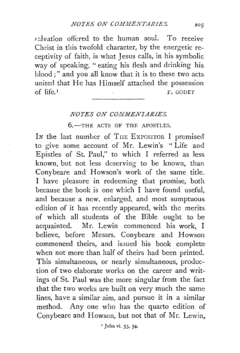$r$ alvation offered to the human soul. To receive Christ in this twofold character, by the energetic receptivity of faith, is what Jesus calls, in his symbolic way of speaking, "eating his flesh and drinking his. blood ; " and you all know that it is to these two acts united that He has Himself attached the possession of life  $\frac{1}{\sqrt{1-\frac{1}{\sqrt{1-\frac{1}{\sqrt{1-\frac{1}{\sqrt{1-\frac{1}{\sqrt{1-\frac{1}{\sqrt{1-\frac{1}{\sqrt{1-\frac{1}{\sqrt{1-\frac{1}{\sqrt{1-\frac{1}{\sqrt{1-\frac{1}{\sqrt{1-\frac{1}{\sqrt{1-\frac{1}{\sqrt{1-\frac{1}{\sqrt{1-\frac{1}{\sqrt{1-\frac{1}{\sqrt{1-\frac{1}{\sqrt{1-\frac{1}{\sqrt{1-\frac{1}{\sqrt{1-\frac{1}{\sqrt{1-\frac{1}{\sqrt{1-\frac{1}{\sqrt{1-\frac{1}{\sqrt{1-\frac{1}{\$ 

## *NOTES ON COMMENTARIES.*

## 6.-THE ACTS OF THF. APOSTLES.

In the last number of THE EXPOSITOR I promised to give some account of Mr. Lewin's " Life and Epistles of St. Paul," to which I referred as less. known, but not less deserving to be known, than Conybeare and Howson's work of the same title. I have pleasure in redeeming that promise, both because the book is one which I have found useful, and because a new, enlarged, and most sumptuous. edition of it has recently appeared, with the merits. of which all students of the Bible ought to be acquainted. Mr. Lewin commenced his work, I believe, before Messrs. Conybeare and Howson commenced theirs, and issued his book complete when not more than half of theirs had been printed. This simultaneous, or nearly simultaneous, production of two elaborate works on the career and writings of St. Paul was the more singular from the fact that the two works are built on very much the same lines, have a similar aim, and pursue it in a similar method. Any one who has the quarto edition of Conybeare and Howson, but not that of Mr. Lewin,

'John vi. 53, 54·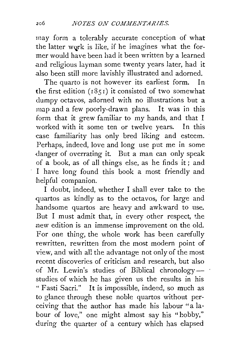rnay form a tolerably accurate conception of what the latter work is like, if he imagines what the former would have been had it been written by a learned .and religious layman some twenty years later, had it .also been still more lavishly illustrated and adorned.

The quarto is not however its earliest form. In the first edition  $(1851)$  it consisted of two somewhat dumpy octavos, adorned with no illustrations but a map and a few poorly-drawn plans. It was in this form that it grew familiar to my hands, and that I worked with it some ten or twelve years. In this case familiarity has only bred liking and esteem. Perhaps, indeed, love and long use put me in some danger of overrating it. But a man can only speak of a book, as of all things else, as he finds it ; and I have long found this book a most friendly and helpful· companion.

I doubt, indeed, whether I shall ever take to the quartos as kindly as to the octavos, for large and handsome quartos are heavy and awkward to use. But I must admit that, in every other respect, the :new edition is an immense improvement on the old. For one thing, the whole work has been carefully rewritten, rewritten from the most modern point of view, and with all the advantage not only of the most recent discoveries of criticism and research, but also of Mr. Lewin's studies of Biblical chronology- studies of which he has given us the results in his "Fasti Sacri." It is impossible, indeed, so much as to glance through these noble quartos without perceiving that the author has made his labour "a labour of love," one might almost say his "hobby," during the quarter of a century which has elapsed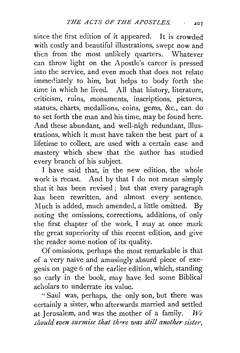since the first edition of it appeared. It is crowded with costly and beautiful illustrations, swept now and then from the most unlikely quarters. Whatever can throw light on the Apostle's career is pressed into the service, and even much that does not relate immediately to him, but helps to body forth the time in which he lived. All that history, literature, criticism, ruins, monuments, inscriptions, pictures, statues, charts, medallions, coins, gems, &c., can do to set forth the man and his time, may be found here. And these abundant, and well-nigh redundant, illustrations, which it must have taken the best part of a lifetime to collect, are used with a certain ease and mastery which shew that the author has studied every branch of his subject.

I have said that, in the new edition, the whole work is recast. And by that I do not mean simply that it has been revised; but that every paragraph has been rewritten, and almost every sentence. Much is added, much amended, a little omitted. By noting the omissions, corrections, additions, of only the first chapter of the work, I may at once mark the great superiority of this recent edition, and give the reader some notion of its quality.

Of omissions, perhaps the most remarkable is that of a very naïve and amusingly absurd piece of exegesis on page 6 of the earlier edition, which, standing so early in the book, may have led some Biblical .scholars to underrate its value.

"Saul was, perhaps, the only son, but there was certainly a sister, who afterwards married and settled at Jerusalem, and was the mother of a family.  $W_e$ *should even surmise that there was still another sister,*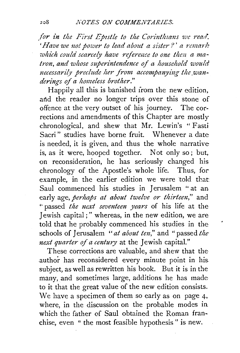for in the First Epistle to the Corinthians we read. *'Have we not power to lead about a sister* f' *a remmk*  which could scarcely have reference to one then a ma*tron, and whose superintendence of a household would*  necessarily preclude her from accompanying the wan*dering-so.fa homeless brother."* 

Happily all this is banished from the new edition, and the reader no longer trips over this stone of offence at the very outset of his journey. The corrections and amendments of this Chapter are mostly chronological, and shew that Mr. Lewin's " Fasti Sacri" studies have borne fruit. Whenever a date is needed, it is given, and thus the whole narrative is, as it were, hooped together. Not only so ; but, on reconsideration, he has seriously changed his chronology of the Apostle's whole life. Thus, for example, in the earlier edition we were told that Saul commenced his studies in Jerusalem " at ani early age, *perhaps at about twelve or thirteen,"* and •· passed *the next seventeen years* of his life at the Jewish capital ; " whereas, in the new edition, we are told that he probably commenced his studies in the schools of Jerusalem "at about ten," and " passed the *next quarter of a century* at the Jewish capital."

These corrections are valuable, and shew that the author has reconsidered every minute point in his. subject, as well as rewritten his book. But it is in the many, and sometimes large, additions he has made to it that the great value of the new edition consists. We have a specimen of them so early as on page 4, where, in the discussion on the probable modes in which the father of Saul obtained the Roman franchise, even " the most feasible hypothesis " is new.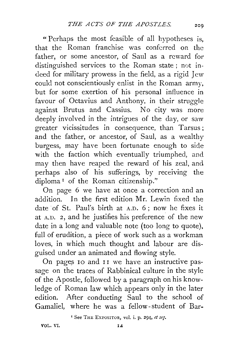" Perhaps the most feasible of all hypotheses is, that the Roman franchise was conferred on the father, or some ancestor, of Saul as a reward for distinguished services to the Roman state ; not indeed for military prowess in the field, as a rigid Jew could not conscientiously enlist in the Roman army, but for some exertion of his personal influence in favour of Octavius and Anthony, in their struggle against Brutus and Cassius. No city was more deeply involved in the intrigues of the day, or saw greater vicissitudes in consequence, than Tarsus; and the father, or ancestor, of Saul, as a wealthy burgess, may have been fortunate enough to side with the faction which eventually triumphed, and may then have reaped the reward of his zeal, and perhaps also of his sufferings, by receiving the diploma 1 of the Roman citizenship."

On page 6 we have at once a correction and an addition. In the first edition Mr. Lewin fixed the date 'of St. Paul's birth at A.D. 6 ; now he fixes it at A.D. 2, and he justifies his preference of the new date in a long and valuable note (too long to quote), full of erudition, a piece of work such as a workman loves, in which much thought and labour are disguised under an animated and flowing style.

On pages 10 and II we have an instructive passage on the traces of Rabbinical culture in the style of the Apostle, followed by a paragraph on his knowledge of Roman law which appears only in the later edition. After conducting Saul to the school of Gamaliel, where he was a fellow-student of Bar-

' See THE EXPOSITOR, vol. i. p. 294, *et seq.* 

VOL. VI.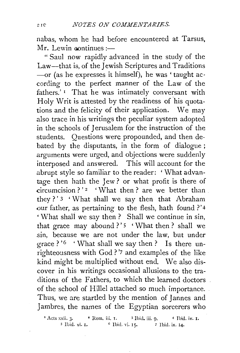nabas, whom he had before encountered at Tarsus,  $Mr.$  Lewin continues : $-$ 

" Saul now rapidly advanced in the study of the Law-that is, of the Jewish Scriptures and Traditions -or (as he expresses it himself), he was 'taught according to the perfect manner of the Law of the fathers.' 1 That he was intimately conversant with Holy Writ is attested by the readiness of his quotations and the felicity of their application. We may also trace in his writings the peculiar system adopted in the schools of Jerusalem for the instruction of the students. Questions were propounded, and then debated by the disputants, in the form of dialogue ; arguments were urged, and objections were suddenly interposed and answered. This will account for the abrupt style so familiar to the reader: 'What advantage then hath the Jew ? or what profit is there of circumcision ? ' $\alpha$  ' What then ? are we better than they?' 3 'What shall we say then that Abraham our father, as pertaining to the flesh, hath found ?'4 ' What shali we say then ? Shall we continue in sin, that grace may abound ?' $5$  'What then? shall we sin, because we are not under the law, but under grace? '6 'What shall we say then? Is there unrighteousness with God ? '7 and examples of the like kind might be multiplied without end. We also discover in his writings occasional allusions to the traditions of the Fathers, to which the learned doctors of the school of Hille! attached so much importance. Thus, we are startled by the mention of Jannes and Jambres, the names of the Egyptian sorcerers who

<sup>1</sup> Acts xxii. 3. • Rom. iii. I. <sup>3</sup> Ibid. iii. 9. • 4 Ibid. iv. I. <sup>5</sup> Ibid. iv. I. **4.** • 1 **bid.** iv. I. s Ibid. vi. 1. 6 Ibid. vi. 15· *7* Ibid. ix. 14.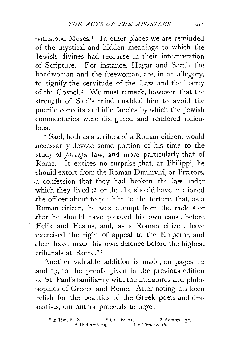withstood Moses.<sup>1</sup> In other places we are reminded ·of the mystical and hidden meanings to which the Jewish divines had recourse in their interpretation of Scripture. For instance, Hagar and Sarah, the bondwoman and the freewoman, are, in an allegory, 'to signify the servitude of the Law and the liberty of the Gospel.<sup>2</sup> We must remark, however, that the strength of Saul's mind enabled him to avoid the puerile conceits and idle fancies by which the Jewish commentaries were disfigured and rendered ridiculous.

" Saul, both as a scribe and a Roman citizen, would necessarily devote some portion of his time to the study of *foreign* law, and more particularly that of Rome. It excites no surprise that, at Philippi, he should extort from the Roman Duumviri, or Prætors, a· confession that they had broken the law under which they lived ;<sup>3</sup> or that he should have cautioned the officer about to put him to the torture, that, as a Roman citizen, he was exempt from the rack ; 4 or .that he should have pleaded his own cause before Felix and Festus, and, as a Roman citizen, have •exercised the right of appeal to the Emperor, and then have made his own defence before the highest tribunals at Rome." 5

Another valuable addition is made, on pages 12 .and r 3, to the proofs given in the previous edition .of St. Paul's familiarity with the literatures and philo- ·sophies of Greece and Rome. After noting his keen relish for the beauties of the Greek poets and dramatists, our author proceeds to urge :-

<sup>&</sup>lt;sup>1</sup> 2 Tim. iii. 8. <sup>2</sup> Gal. iv. 21. <sup>3</sup> Acts xvi. 3. 4 Ubid xxii. 25. S 2 Tim. iv. 16.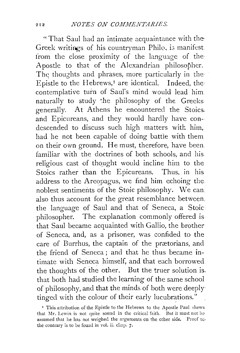"That Saul had an intimate acquaintance with the· Greek writings of his countryman Philo, is manifest. from the close proximity of the language of the Apostle to that of the Alexandrian philosopher. The thoughts and phrases, more particularly in the Epistle to the Hebrews,<sup>1</sup> are identical. Indeed, the contemplative turn of Saul's mind would lead him. naturally to study the philosophy of the Greeks generally. At Athens he encountered the Stoics. and Epicureans, and they would hardly have condescended to discuss such high matters with him, had he not been capable of doing battle with them. on their own ground. He must, therefore, have been. familiar with the doctrines of both schools, and his religious cast of thought would incline him to the Stoics rather than the Epicureans. Thus, in his address to the Areopagus, we find him echoing the. noblest sentiments of the Stoic philosophy. \Ve can also thus account for the great resemblance between. the language of Saul and that of Seneca, a Stoic philosopher. The explanation commonly offered is that Saul became acquainted with Gallio, the brother of Seneca, and, as a prisoner, was confided to the care of Burrhus, the captain of the prætorians, and the friend of Seneca; and that he thus became intimate with Seneca himself, and that each borrowed the thoughts of the other. But the truer solution is. that both had studied the learning of the same school of philosophy, and that the minds of both were deeply tinged with the colour of their early lucubrations."

<sup>&</sup>lt;sup>I</sup> This attribution of the Epistle to the Hebrews to the Apostle Paul shews. that Mr. Lewin is not quite sound in the critical faith. But it must not be assumed that he has not weighed the arguments on the other side. Proof to- the contrary is to be found in vol. ii. chap. 7.